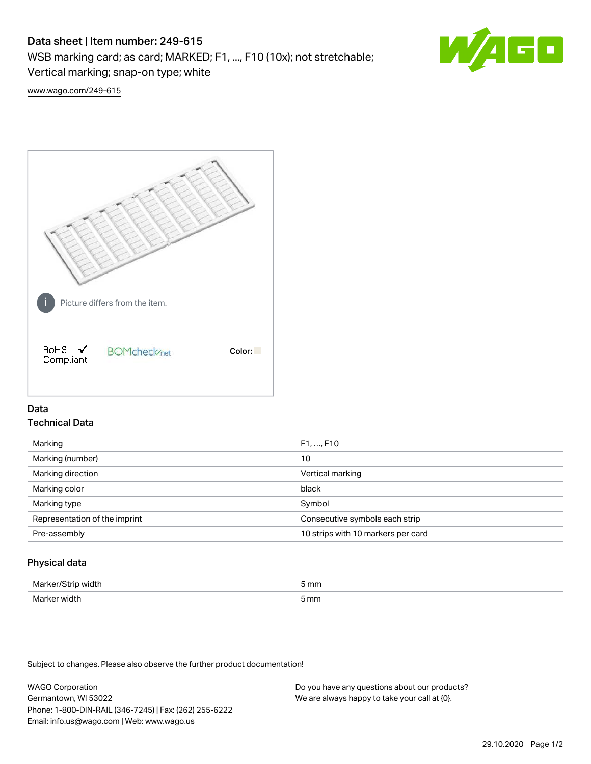# Data sheet | Item number: 249-615

WSB marking card; as card; MARKED; F1, ..., F10 (10x); not stretchable;

Vertical marking; snap-on type; white



[www.wago.com/249-615](http://www.wago.com/249-615)



## Data Technical Data

| Marking                       | F1, , F10                          |
|-------------------------------|------------------------------------|
| Marking (number)              | 10                                 |
| Marking direction             | Vertical marking                   |
| Marking color                 | black                              |
| Marking type                  | Symbol                             |
| Representation of the imprint | Consecutive symbols each strip     |
| Pre-assembly                  | 10 strips with 10 markers per card |
|                               |                                    |

## Physical data

| Mar                      | 5 mm |
|--------------------------|------|
| M <sub>cr</sub><br>width | 5 mm |

Subject to changes. Please also observe the further product documentation!

WAGO Corporation Germantown, WI 53022 Phone: 1-800-DIN-RAIL (346-7245) | Fax: (262) 255-6222 Email: info.us@wago.com | Web: www.wago.us Do you have any questions about our products? We are always happy to take your call at {0}.